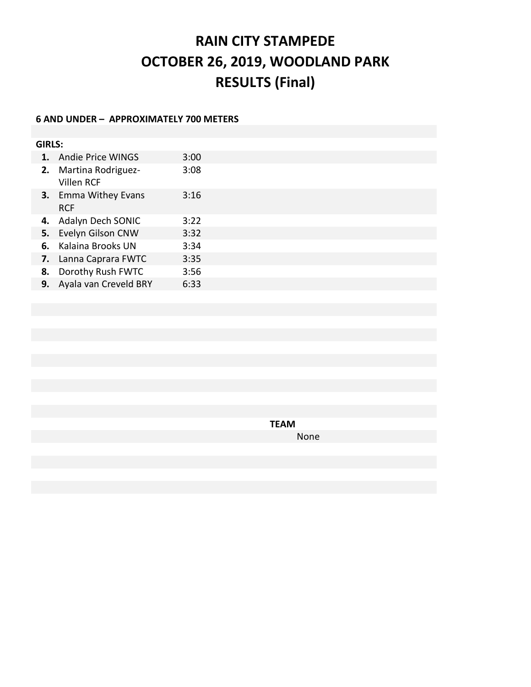# **RAIN CITY STAMPEDE OCTOBER 26, 2019, WOODLAND PARK RESULTS (Final)**

## **6 AND UNDER – APPROXIMATELY 700 METERS**

| <b>GIRLS:</b> |                                           |      |  |  |  |  |
|---------------|-------------------------------------------|------|--|--|--|--|
| 1.            | <b>Andie Price WINGS</b>                  | 3:00 |  |  |  |  |
| 2.            | Martina Rodriguez-<br>Villen RCF          | 3:08 |  |  |  |  |
|               | <b>3.</b> Emma Withey Evans<br><b>RCF</b> | 3:16 |  |  |  |  |
| 4.            | Adalyn Dech SONIC                         | 3:22 |  |  |  |  |
| 5.            | Evelyn Gilson CNW                         | 3:32 |  |  |  |  |
| 6.            | Kalaina Brooks UN                         | 3:34 |  |  |  |  |
| 7.            | Lanna Caprara FWTC                        | 3:35 |  |  |  |  |
| 8.            | Dorothy Rush FWTC                         | 3:56 |  |  |  |  |
| 9.            | Ayala van Creveld BRY                     | 6:33 |  |  |  |  |

**TEAM** None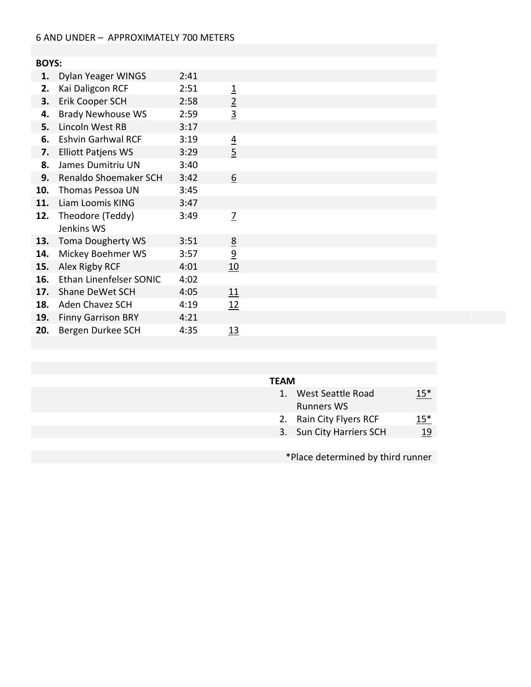# **BOYS:**

| 1.  | <b>Dylan Yeager WINGS</b> | 2:41 |                 |  |
|-----|---------------------------|------|-----------------|--|
| 2.  | Kai Daligcon RCF          | 2:51 | <u>1</u>        |  |
| 3.  | Erik Cooper SCH           | 2:58 | $\overline{2}$  |  |
| 4.  | <b>Brady Newhouse WS</b>  | 2:59 | $\overline{3}$  |  |
| 5.  | Lincoln West RB           | 3:17 |                 |  |
| 6.  | <b>Eshvin Garhwal RCF</b> | 3:19 | <u>4</u>        |  |
| 7.  | <b>Elliott Patjens WS</b> | 3:29 | $\overline{5}$  |  |
| 8.  | James Dumitriu UN         | 3:40 |                 |  |
| 9.  | Renaldo Shoemaker SCH     | 3:42 | $\underline{6}$ |  |
| 10. | Thomas Pessoa UN          | 3:45 |                 |  |
|     | 11. Liam Loomis KING      | 3:47 |                 |  |
| 12. | Theodore (Teddy)          | 3:49 | <u>7</u>        |  |
|     | Jenkins WS                |      |                 |  |
| 13. | <b>Toma Dougherty WS</b>  | 3:51 | <u>8</u>        |  |
| 14. | Mickey Boehmer WS         | 3:57 | $\overline{9}$  |  |
| 15. | Alex Rigby RCF            | 4:01 | 10              |  |
| 16. | Ethan Linenfelser SONIC   | 4:02 |                 |  |
| 17. | Shane DeWet SCH           | 4:05 | <u>11</u>       |  |
| 18. | Aden Chavez SCH           | 4:19 | 12              |  |
| 19. | <b>Finny Garrison BRY</b> | 4:21 |                 |  |
| 20. | Bergen Durkee SCH         | 4:35 | 13              |  |

#### **TEAM**

| West Seattle Road<br><b>Runners WS</b> | $15*$ |
|----------------------------------------|-------|
| 2. Rain City Flyers RCF                | $15*$ |
| . <b>.</b>                             |       |

3. Sun City Harriers SCH 19

\*Place determined by third runner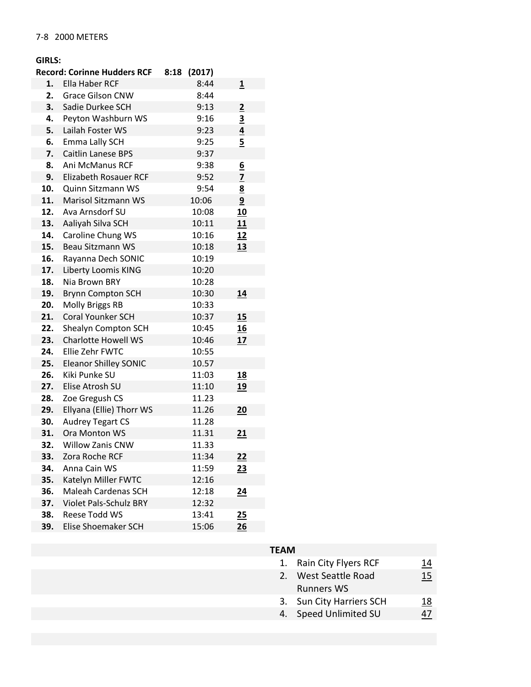#### **GIRLS:**

|     | <b>Record: Corinne Hudders RCF</b> | 8:18 | (2017) |                         |
|-----|------------------------------------|------|--------|-------------------------|
| 1.  | Ella Haber RCF                     |      | 8:44   | <u>1</u>                |
| 2.  | <b>Grace Gilson CNW</b>            |      | 8:44   |                         |
| 3.  | Sadie Durkee SCH                   |      | 9:13   | $\overline{2}$          |
| 4.  | Peyton Washburn WS                 |      | 9:16   | $\overline{\mathbf{3}}$ |
| 5.  | Lailah Foster WS                   |      | 9:23   | $\overline{4}$          |
| 6.  | Emma Lally SCH                     |      | 9:25   | 5                       |
| 7.  | <b>Caitlin Lanese BPS</b>          |      | 9:37   |                         |
| 8.  | <b>Ani McManus RCF</b>             |      | 9:38   | <u>6</u>                |
| 9.  | Elizabeth Rosauer RCF              |      | 9:52   | $\overline{z}$          |
| 10. | Quinn Sitzmann WS                  |      | 9:54   | $\frac{8}{9}$           |
| 11. | <b>Marisol Sitzmann WS</b>         |      | 10:06  |                         |
| 12. | Ava Arnsdorf SU                    |      | 10:08  | 10                      |
| 13. | Aaliyah Silva SCH                  |      | 10:11  | 11                      |
| 14. | Caroline Chung WS                  |      | 10:16  | 12                      |
| 15. | <b>Beau Sitzmann WS</b>            |      | 10:18  | 13                      |
| 16. | Rayanna Dech SONIC                 |      | 10:19  |                         |
| 17. | Liberty Loomis KING                |      | 10:20  |                         |
| 18. | Nia Brown BRY                      |      | 10:28  |                         |
| 19. | <b>Brynn Compton SCH</b>           |      | 10:30  | 14                      |
| 20. | Molly Briggs RB                    |      | 10:33  |                         |
| 21. | <b>Coral Younker SCH</b>           |      | 10:37  | 15                      |
| 22. | Shealyn Compton SCH                |      | 10:45  | 16                      |
| 23. | <b>Charlotte Howell WS</b>         |      | 10:46  | 17                      |
| 24. | Ellie Zehr FWTC                    |      | 10:55  |                         |
| 25. | <b>Eleanor Shilley SONIC</b>       |      | 10.57  |                         |
| 26. | Kiki Punke SU                      |      | 11:03  | <u>18</u>               |
| 27. | Elise Atrosh SU                    |      | 11:10  | <u>19</u>               |
| 28. | Zoe Gregush CS                     |      | 11.23  |                         |
| 29. | Ellyana (Ellie) Thorr WS           |      | 11.26  | 20                      |
| 30. | <b>Audrey Tegart CS</b>            |      | 11.28  |                         |
| 31. | Ora Monton WS                      |      | 11.31  | 21                      |
| 32. | <b>Willow Zanis CNW</b>            |      | 11.33  |                         |
| 33. | Zora Roche RCF                     |      | 11:34  | <u> 22</u>              |
| 34. | Anna Cain WS                       |      | 11:59  | 23                      |
| 35. | Katelyn Miller FWTC                |      | 12:16  |                         |
| 36. | Maleah Cardenas SCH                |      | 12:18  | $\overline{24}$         |
| 37. | <b>Violet Pals-Schulz BRY</b>      |      | 12:32  |                         |
| 38. | Reese Todd WS                      |      | 13:41  | 25                      |
| 39. | Elise Shoemaker SCH                |      | 15:06  | 26                      |

# **TEAM**

| 1. Rain City Flyers RCF  | 14         |
|--------------------------|------------|
| 2. West Seattle Road     | <u> 15</u> |
| <b>Runners WS</b>        |            |
| 3. Sun City Harriers SCH | 18         |

4. Speed Unlimited SU  $\overline{47}$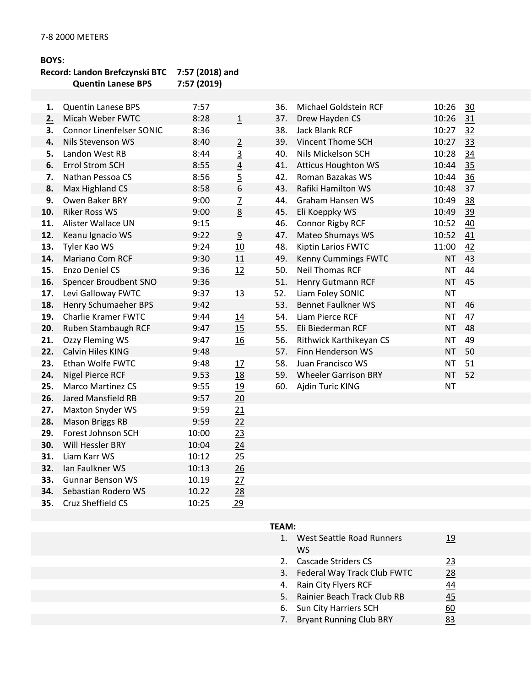#### **BOYS:**

## **Record: Landon Brefczynski BTC 7:57 (2018) and Quentin Lanese BPS**

**34.** Sebastian Rodero WS 10.22 28<br>**35.** Cruz Sheffield CS 10:25 29

**35.** Cruz Sheffield CS 10:25

| 1.  | <b>Quentin Lanese BPS</b>       | 7:57  |                 | 36. | Michael Goldstein RCF       | 10:26     | 30 |
|-----|---------------------------------|-------|-----------------|-----|-----------------------------|-----------|----|
| 2.  | Micah Weber FWTC                | 8:28  | $\overline{1}$  | 37. | Drew Hayden CS              | 10:26     | 31 |
| 3.  | <b>Connor Linenfelser SONIC</b> | 8:36  |                 | 38. | <b>Jack Blank RCF</b>       | 10:27     | 32 |
| 4.  | Nils Stevenson WS               | 8:40  | $\overline{2}$  | 39. | <b>Vincent Thome SCH</b>    | 10:27     | 33 |
| 5.  | Landon West RB                  | 8:44  | $\overline{3}$  | 40. | Nils Mickelson SCH          | 10:28     | 34 |
| 6.  | Errol Strom SCH                 | 8:55  | $\overline{4}$  | 41. | <b>Atticus Houghton WS</b>  | 10:44     | 35 |
| 7.  | Nathan Pessoa CS                | 8:56  | $\overline{5}$  | 42. | Roman Bazakas WS            | 10:44     | 36 |
| 8.  | Max Highland CS                 | 8:58  | $\underline{6}$ | 43. | Rafiki Hamilton WS          | 10:48     | 37 |
| 9.  | Owen Baker BRY                  | 9:00  | $\overline{Z}$  | 44. | <b>Graham Hansen WS</b>     | 10:49     | 38 |
| 10. | <b>Riker Ross WS</b>            | 9:00  | 8               | 45. | Eli Koeppky WS              | 10:49     | 39 |
| 11. | Alister Wallace UN              | 9:15  |                 | 46. | <b>Connor Rigby RCF</b>     | 10:52     | 40 |
| 12. | Keanu Ignacio WS                | 9:22  | 9               | 47. | Mateo Shumays WS            | 10:52     | 41 |
| 13. | Tyler Kao WS                    | 9:24  | 10              | 48. | Kiptin Larios FWTC          | 11:00     | 42 |
| 14. | <b>Mariano Com RCF</b>          | 9:30  | 11              | 49. | Kenny Cummings FWTC         | <b>NT</b> | 43 |
| 15. | Enzo Deniel CS                  | 9:36  | 12              | 50. | <b>Neil Thomas RCF</b>      | <b>NT</b> | 44 |
| 16. | Spencer Broudbent SNO           | 9:36  |                 | 51. | <b>Henry Gutmann RCF</b>    | <b>NT</b> | 45 |
| 17. | Levi Galloway FWTC              | 9:37  | 13              | 52. | Liam Foley SONIC            | <b>NT</b> |    |
| 18. | Henry Schumaeher BPS            | 9:42  |                 | 53. | <b>Bennet Faulkner WS</b>   | <b>NT</b> | 46 |
| 19. | <b>Charlie Kramer FWTC</b>      | 9:44  | 14              | 54. | Liam Pierce RCF             | <b>NT</b> | 47 |
| 20. | Ruben Stambaugh RCF             | 9:47  | 15              | 55. | Eli Biederman RCF           | <b>NT</b> | 48 |
| 21. | Ozzy Fleming WS                 | 9:47  | 16              | 56. | Rithwick Karthikeyan CS     | <b>NT</b> | 49 |
| 22. | Calvin Hiles KING               | 9:48  |                 | 57. | Finn Henderson WS           | <b>NT</b> | 50 |
| 23. | Ethan Wolfe FWTC                | 9:48  | 17              | 58. | Juan Francisco WS           | <b>NT</b> | 51 |
| 24. | <b>Nigel Pierce RCF</b>         | 9.53  | 18              | 59. | <b>Wheeler Garrison BRY</b> | <b>NT</b> | 52 |
| 25. | <b>Marco Martinez CS</b>        | 9:55  | 19              | 60. | Ajdin Turic KING            | <b>NT</b> |    |
| 26. | Jared Mansfield RB              | 9:57  | 20              |     |                             |           |    |
| 27. | Maxton Snyder WS                | 9:59  | 21              |     |                             |           |    |
| 28. | <b>Mason Briggs RB</b>          | 9:59  | 22              |     |                             |           |    |
| 29. | Forest Johnson SCH              | 10:00 | 23              |     |                             |           |    |
| 30. | Will Hessler BRY                | 10:04 | 24              |     |                             |           |    |
| 31. | Liam Karr WS                    | 10:12 | 25              |     |                             |           |    |
| 32. | Ian Faulkner WS                 | 10:13 | 26              |     |                             |           |    |
| 33. | <b>Gunnar Benson WS</b>         | 10.19 | 27              |     |                             |           |    |
| 34. | Sebastian Rodero WS             | 10.22 | 28              |     |                             |           |    |

| $1_{\cdot}$ | <b>West Seattle Road Runners</b><br>WS | 19 |
|-------------|----------------------------------------|----|
| 2.          | Cascade Striders CS                    | 23 |
| 3.          | Federal Way Track Club FWTC            | 28 |
| 4.          | Rain City Flyers RCF                   | 44 |
| 5.          | Rainier Beach Track Club RB            | 45 |
| 6.          | Sun City Harriers SCH                  | 60 |
| 7.          | <b>Bryant Running Club BRY</b>         | 83 |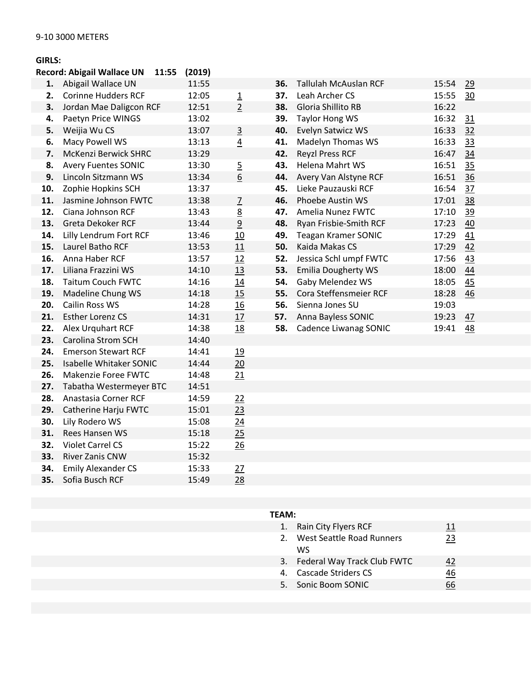## **GIRLS:**

| <b>Record: Abigail Wallace UN</b><br>11:55<br>(2019) |                                |  |       |                  |     |                              |       |           |
|------------------------------------------------------|--------------------------------|--|-------|------------------|-----|------------------------------|-------|-----------|
| 1.                                                   | Abigail Wallace UN             |  | 11:55 |                  | 36. | <b>Tallulah McAuslan RCF</b> | 15:54 | 29        |
| 2.                                                   | <b>Corinne Hudders RCF</b>     |  | 12:05 | $\overline{1}$   | 37. | Leah Archer CS               | 15:55 | 30        |
| 3.                                                   | Jordan Mae Daligcon RCF        |  | 12:51 | $\overline{2}$   | 38. | Gloria Shillito RB           | 16:22 |           |
| 4.                                                   | Paetyn Price WINGS             |  | 13:02 |                  | 39. | <b>Taylor Hong WS</b>        | 16:32 | 31        |
| 5.                                                   | Weijia Wu CS                   |  | 13:07 | $\overline{3}$   | 40. | Evelyn Satwicz WS            | 16:33 | 32        |
| 6.                                                   | Macy Powell WS                 |  | 13:13 | $\overline{4}$   | 41. | Madelyn Thomas WS            | 16:33 | 33        |
| 7.                                                   | <b>McKenzi Berwick SHRC</b>    |  | 13:29 |                  | 42. | <b>Reyzl Press RCF</b>       | 16:47 | 34        |
| 8.                                                   | <b>Avery Fuentes SONIC</b>     |  | 13:30 | $\overline{5}$   | 43. | Helena Mahrt WS              | 16:51 | 35        |
| 9.                                                   | Lincoln Sitzmann WS            |  | 13:34 | $6 \overline{6}$ | 44. | Avery Van Alstyne RCF        | 16:51 | 36        |
| 10.                                                  | Zophie Hopkins SCH             |  | 13:37 |                  | 45. | Lieke Pauzauski RCF          | 16:54 | 37        |
| 11.                                                  | Jasmine Johnson FWTC           |  | 13:38 | $\overline{2}$   | 46. | Phoebe Austin WS             | 17:01 | 38        |
| 12.                                                  | Ciana Johnson RCF              |  | 13:43 | 8                | 47. | Amelia Nunez FWTC            | 17:10 | <u>39</u> |
| 13.                                                  | Greta Dekoker RCF              |  | 13:44 | 9                | 48. | Ryan Frisbie-Smith RCF       | 17:23 | 40        |
| 14.                                                  | Lilly Lendrum Fort RCF         |  | 13:46 | 10               | 49. | <b>Teagan Kramer SONIC</b>   | 17:29 | 41        |
| 15.                                                  | Laurel Batho RCF               |  | 13:53 | 11               | 50. | Kaida Makas CS               | 17:29 | 42        |
| 16.                                                  | Anna Haber RCF                 |  | 13:57 | 12               | 52. | Jessica Schl umpf FWTC       | 17:56 | 43        |
| 17.                                                  | Liliana Frazzini WS            |  | 14:10 | 13               | 53. | <b>Emilia Dougherty WS</b>   | 18:00 | 44        |
| 18.                                                  | <b>Taitum Couch FWTC</b>       |  | 14:16 | 14               | 54. | Gaby Melendez WS             | 18:05 | 45        |
| 19.                                                  | Madeline Chung WS              |  | 14:18 | 15               | 55. | Cora Steffensmeier RCF       | 18:28 | 46        |
| 20.                                                  | Cailin Ross WS                 |  | 14:28 | 16               | 56. | Sienna Jones SU              | 19:03 |           |
| 21.                                                  | Esther Lorenz CS               |  | 14:31 | 17               | 57. | Anna Bayless SONIC           | 19:23 | 47        |
| 22.                                                  | Alex Urquhart RCF              |  | 14:38 | 18               | 58. | Cadence Liwanag SONIC        | 19:41 | <u>48</u> |
| 23.                                                  | <b>Carolina Strom SCH</b>      |  | 14:40 |                  |     |                              |       |           |
| 24.                                                  | <b>Emerson Stewart RCF</b>     |  | 14:41 | 19               |     |                              |       |           |
| 25.                                                  | <b>Isabelle Whitaker SONIC</b> |  | 14:44 | 20               |     |                              |       |           |
| 26.                                                  | Makenzie Foree FWTC            |  | 14:48 | 21               |     |                              |       |           |
| 27.                                                  | Tabatha Westermeyer BTC        |  | 14:51 |                  |     |                              |       |           |
| 28.                                                  | Anastasia Corner RCF           |  | 14:59 | 22               |     |                              |       |           |
| 29.                                                  | Catherine Harju FWTC           |  | 15:01 | 23               |     |                              |       |           |
| 30.                                                  | Lily Rodero WS                 |  | 15:08 | 24               |     |                              |       |           |
| 31.                                                  | <b>Rees Hansen WS</b>          |  | 15:18 | 25               |     |                              |       |           |
| 32.                                                  | <b>Violet Carrel CS</b>        |  | 15:22 | 26               |     |                              |       |           |
| 33.                                                  | River Zanis CNW                |  | 15:32 |                  |     |                              |       |           |
| 34.                                                  | <b>Emily Alexander CS</b>      |  | 15:33 | 27               |     |                              |       |           |

**35.** Sofia Busch RCF 15:49 28

|    | 1. Rain City Flyers RCF        |    |
|----|--------------------------------|----|
|    | 2. West Seattle Road Runners   | 23 |
|    | WS.                            |    |
|    | 3. Federal Way Track Club FWTC | 42 |
| 4. | Cascade Striders CS            | 46 |
|    | 5. Sonic Boom SONIC            |    |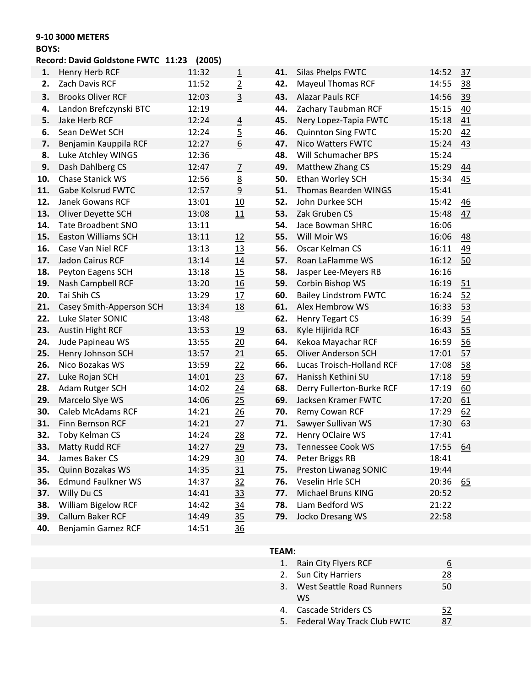## **9-10 3000 METERS**

#### **BOYS:**

## **Record: David Goldstone FWTC 11:23 (2005)**

| 1.  | Henry Herb RCF             | 11:32 | $\overline{1}$   | 41. | Silas Phelps FWTC            | 14:52 | 37               |
|-----|----------------------------|-------|------------------|-----|------------------------------|-------|------------------|
| 2.  | Zach Davis RCF             | 11:52 | $\overline{2}$   | 42. | <b>Mayeul Thomas RCF</b>     | 14:55 | 38               |
| з.  | <b>Brooks Oliver RCF</b>   | 12:03 | $\overline{3}$   | 43. | <b>Alazar Pauls RCF</b>      | 14:56 | 39               |
| 4.  | Landon Brefczynski BTC     | 12:19 |                  | 44. | Zachary Taubman RCF          | 15:15 | 40               |
| 5.  | Jake Herb RCF              | 12:24 | $\overline{4}$   | 45. | Nery Lopez-Tapia FWTC        | 15:18 | 41               |
| 6.  | Sean DeWet SCH             | 12:24 | $\overline{5}$   | 46. | <b>Quinnton Sing FWTC</b>    | 15:20 | 42               |
| 7.  | Benjamin Kauppila RCF      | 12:27 | $\underline{6}$  | 47. | <b>Nico Watters FWTC</b>     | 15:24 | 43               |
| 8.  | Luke Atchley WINGS         | 12:36 |                  | 48. | Will Schumacher BPS          | 15:24 |                  |
| 9.  | Dash Dahlberg CS           | 12:47 | $\overline{1}$   | 49. | Matthew Zhang CS             | 15:29 | 44               |
| 10. | Chase Stanick WS           | 12:56 | $\underline{8}$  | 50. | Ethan Worley SCH             | 15:34 | 45               |
| 11. | Gabe Kolsrud FWTC          | 12:57 | $\overline{9}$   | 51. | <b>Thomas Bearden WINGS</b>  | 15:41 |                  |
| 12. | <b>Janek Gowans RCF</b>    | 13:01 | 10               | 52. | John Durkee SCH              | 15:42 | 46               |
| 13. | Oliver Deyette SCH         | 13:08 | 11               | 53. | Zak Gruben CS                | 15:48 | 47               |
| 14. | <b>Tate Broadbent SNO</b>  | 13:11 |                  | 54. | Jace Bowman SHRC             | 16:06 |                  |
| 15. | <b>Easton Williams SCH</b> | 13:11 | 12               | 55. | Will Moir WS                 | 16:06 | 48               |
| 16. | Case Van Niel RCF          | 13:13 | 13               | 56. | Oscar Kelman CS              | 16:11 | 49               |
| 17. | Jadon Cairus RCF           | 13:14 | 14               | 57. | Roan LaFlamme WS             | 16:12 | 50               |
| 18. | Peyton Eagens SCH          | 13:18 | 15               | 58. | Jasper Lee-Meyers RB         | 16:16 |                  |
| 19. | Nash Campbell RCF          | 13:20 | 16               | 59. | Corbin Bishop WS             | 16:19 | 51               |
| 20. | Tai Shih CS                | 13:29 | 17               | 60. | <b>Bailey Lindstrom FWTC</b> | 16:24 | 52               |
| 21. | Casey Smith-Apperson SCH   | 13:34 | <u>18</u>        | 61. | Alex Hembrow WS              | 16:33 | 53               |
| 22. | Luke Slater SONIC          | 13:48 |                  | 62. | <b>Henry Tegart CS</b>       | 16:39 | 54               |
| 23. | <b>Austin Hight RCF</b>    | 13:53 | 19               | 63. | Kyle Hijirida RCF            | 16:43 | 55               |
| 24. | Jude Papineau WS           | 13:55 | 20               | 64. | Kekoa Mayachar RCF           | 16:59 | 56               |
| 25. | Henry Johnson SCH          | 13:57 | 21               | 65. | <b>Oliver Anderson SCH</b>   | 17:01 | 57               |
| 26. | Nico Bozakas WS            | 13:59 | 22               | 66. | Lucas Troisch-Holland RCF    | 17:08 | 58               |
| 27. | Luke Rojan SCH             | 14:01 | 23               | 67. | Hanissh Kethini SU           | 17:18 | 59               |
| 28. | Adam Rutger SCH            | 14:02 | $\overline{24}$  | 68. | Derry Fullerton-Burke RCF    | 17:19 | 60               |
| 29. | Marcelo Slye WS            | 14:06 | 25               | 69. | Jacksen Kramer FWTC          | 17:20 | 61               |
| 30. | Caleb McAdams RCF          | 14:21 | 26               | 70. | Remy Cowan RCF               | 17:29 | 62               |
| 31. | Finn Bernson RCF           | 14:21 | 27               | 71. | Sawyer Sullivan WS           | 17:30 | 63               |
| 32. | Toby Kelman CS             | 14:24 | 28               | 72. | Henry OClaire WS             | 17:41 |                  |
| 33. | Matty Rudd RCF             | 14:27 | 29               | 73. | <b>Tennessee Cook WS</b>     | 17:55 | 64               |
| 34. | James Baker CS             | 14:29 | $\underline{30}$ |     | 74. Peter Briggs RB          | 18:41 |                  |
| 35. | Quinn Bozakas WS           | 14:35 | 31               | 75. | <b>Preston Liwanag SONIC</b> | 19:44 |                  |
| 36. | <b>Edmund Faulkner WS</b>  | 14:37 | 32               | 76. | Veselin Hrle SCH             | 20:36 | $\underline{65}$ |
| 37. | Willy Du CS                | 14:41 | 33               | 77. | Michael Bruns KING           | 20:52 |                  |
| 38. | William Bigelow RCF        | 14:42 | $\overline{34}$  | 78. | Liam Bedford WS              | 21:22 |                  |
| 39. | Callum Baker RCF           | 14:49 | 35               | 79. | Jocko Dresang WS             | 22:58 |                  |
| 40. | Benjamin Gamez RCF         | 14:51 | 36               |     |                              |       |                  |

| TEAM: |                                 |    |
|-------|---------------------------------|----|
| 1.    | Rain City Flyers RCF            | 6  |
| 2.    | Sun City Harriers               | 28 |
| 3.    | West Seattle Road Runners<br>ws | 50 |
| 4.    | Cascade Striders CS             | 52 |
| 5.    | Federal Way Track Club FWTC     |    |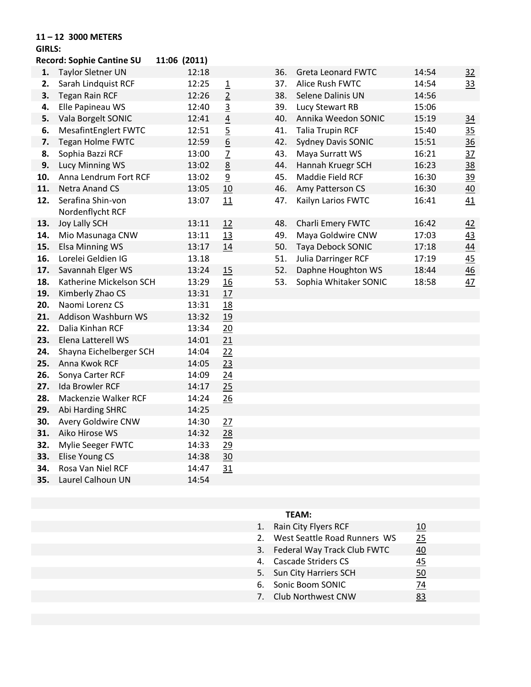#### **11 – 12 3000 METERS**

## **GIRLS:**

|     | <b>Record: Sophie Cantine SU</b> | 11:06 (2011) |                          |     |                           |       |                |
|-----|----------------------------------|--------------|--------------------------|-----|---------------------------|-------|----------------|
| 1.  | <b>Taylor Sletner UN</b>         | 12:18        |                          | 36. | <b>Greta Leonard FWTC</b> | 14:54 | 32             |
| 2.  | Sarah Lindquist RCF              | 12:25        | $\underline{\mathbf{1}}$ | 37. | Alice Rush FWTC           | 14:54 | <u>33</u>      |
| 3.  | <b>Tegan Rain RCF</b>            | 12:26        | $\overline{2}$           | 38. | Selene Dalinis UN         | 14:56 |                |
| 4.  | Elle Papineau WS                 | 12:40        | 3                        | 39. | Lucy Stewart RB           | 15:06 |                |
| 5.  | Vala Borgelt SONIC               | 12:41        | $\underline{4}$          | 40. | Annika Weedon SONIC       | 15:19 | 34             |
| 6.  | <b>MesafintEnglert FWTC</b>      | 12:51        | $\overline{5}$           | 41. | <b>Talia Trupin RCF</b>   | 15:40 | 35             |
| 7.  | <b>Tegan Holme FWTC</b>          | 12:59        | $\underline{6}$          | 42. | <b>Sydney Davis SONIC</b> | 15:51 | 36             |
| 8.  | Sophia Bazzi RCF                 | 13:00        | $\overline{1}$           | 43. | Maya Surratt WS           | 16:21 | <u>37</u>      |
| 9.  | Lucy Minning WS                  | 13:02        | 8                        | 44. | Hannah Kruegr SCH         | 16:23 | $\frac{38}{5}$ |
| 10. | Anna Lendrum Fort RCF            | 13:02        | 9                        | 45. | Maddie Field RCF          | 16:30 | <u>39</u>      |
| 11. | <b>Netra Anand CS</b>            | 13:05        | 10                       | 46. | Amy Patterson CS          | 16:30 | 40             |
| 12. | Serafina Shin-von                | 13:07        | 11                       | 47. | Kailyn Larios FWTC        | 16:41 | 41             |
|     | Nordenflycht RCF                 |              |                          |     |                           |       |                |
| 13. | <b>Joy Lally SCH</b>             | 13:11        | 12                       | 48. | Charli Emery FWTC         | 16:42 | 42             |
| 14. | Mio Masunaga CNW                 | 13:11        | 13                       | 49. | Maya Goldwire CNW         | 17:03 | <u>43</u>      |
| 15. | <b>Elsa Minning WS</b>           | 13:17        | 14                       | 50. | Taya Debock SONIC         | 17:18 | 44             |
| 16. | Lorelei Geldien IG               | 13.18        |                          | 51. | Julia Darringer RCF       | 17:19 | 45             |
| 17. | Savannah Elger WS                | 13:24        | 15                       | 52. | Daphne Houghton WS        | 18:44 | 46             |
| 18. | Katherine Mickelson SCH          | 13:29        | 16                       | 53. | Sophia Whitaker SONIC     | 18:58 | 47             |
| 19. | Kimberly Zhao CS                 | 13:31        | 17                       |     |                           |       |                |
| 20. | Naomi Lorenz CS                  | 13:31        | 18                       |     |                           |       |                |
| 21. | Addison Washburn WS              | 13:32        | 19                       |     |                           |       |                |
| 22. | Dalia Kinhan RCF                 | 13:34        | 20                       |     |                           |       |                |
| 23. | Elena Latterell WS               | 14:01        | 21                       |     |                           |       |                |
| 24. | Shayna Eichelberger SCH          | 14:04        | 22                       |     |                           |       |                |
| 25. | Anna Kwok RCF                    | 14:05        | 23                       |     |                           |       |                |
| 26. | Sonya Carter RCF                 | 14:09        | 24                       |     |                           |       |                |
| 27. | <b>Ida Browler RCF</b>           | 14:17        | 25                       |     |                           |       |                |
| 28. | Mackenzie Walker RCF             | 14:24        | 26                       |     |                           |       |                |
| 29. | Abi Harding SHRC                 | 14:25        |                          |     |                           |       |                |
| 30. | Avery Goldwire CNW               | 14:30        | 27                       |     |                           |       |                |
| 31. | Aiko Hirose WS                   | 14:32        | 28                       |     |                           |       |                |
| 32. | Mylie Seeger FWTC                | 14:33        | 29                       |     |                           |       |                |
| 33. | Elise Young CS                   | 14:38        | 30                       |     |                           |       |                |
| 34. | Rosa Van Niel RCF                | 14:47        | 31                       |     |                           |       |                |
| 35. | Laurel Calhoun UN                | 14:54        |                          |     |                           |       |                |

| 1. Rain City Flyers RCF         | 10 |  |
|---------------------------------|----|--|
| 2. West Seattle Road Runners WS | 25 |  |
| 3. Federal Way Track Club FWTC  | 40 |  |
| 4. Cascade Striders CS          | 45 |  |
| 5. Sun City Harriers SCH        | 50 |  |
| 6. Sonic Boom SONIC             | 74 |  |
| 7. Club Northwest CNW           | 83 |  |
|                                 |    |  |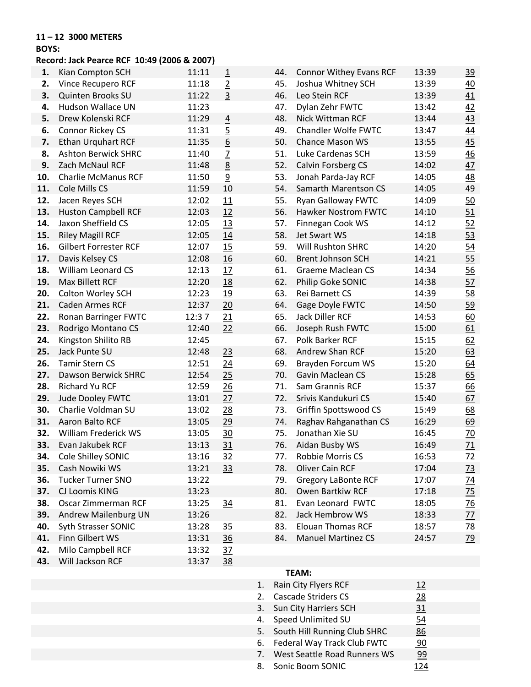#### **11 – 12 3000 METERS**

#### **BOYS:**

## **Record: Jack Pearce RCF 10:49 (2006 & 2007)**

| 1.  | Kian Compton SCH             | 11:11 | $\overline{1}$   | 44. | <b>Connor Withey Evans RCF</b> | 13:39 | <u>39</u>        |
|-----|------------------------------|-------|------------------|-----|--------------------------------|-------|------------------|
| 2.  | Vince Recupero RCF           | 11:18 | $\overline{2}$   | 45. | Joshua Whitney SCH             | 13:39 | 40               |
| 3.  | Quinten Brooks SU            | 11:22 | $\overline{3}$   | 46. | Leo Stein RCF                  | 13:39 | 41               |
| 4.  | Hudson Wallace UN            | 11:23 |                  | 47. | Dylan Zehr FWTC                | 13:42 | <u>42</u>        |
| 5.  | Drew Kolenski RCF            | 11:29 | $\overline{4}$   | 48. | Nick Wittman RCF               | 13:44 | 43               |
| 6.  | Connor Rickey CS             | 11:31 | $\overline{5}$   | 49. | Chandler Wolfe FWTC            | 13:47 | 44               |
| 7.  | <b>Ethan Urquhart RCF</b>    | 11:35 | $\underline{6}$  | 50. | <b>Chance Mason WS</b>         | 13:55 | 45               |
| 8.  | <b>Ashton Berwick SHRC</b>   | 11:40 | $\overline{L}$   | 51. | Luke Cardenas SCH              | 13:59 | 46               |
| 9.  | Zach McNaul RCF              | 11:48 | $\underline{8}$  | 52. | Calvin Forsberg CS             | 14:02 | 47               |
| 10. | <b>Charlie McManus RCF</b>   | 11:50 | $\overline{9}$   | 53. | Jonah Parda-Jay RCF            | 14:05 | 48               |
| 11. | Cole Mills CS                | 11:59 | 10               | 54. | Samarth Marentson CS           | 14:05 | 49               |
| 12. | Jacen Reyes SCH              | 12:02 | 11               | 55. | Ryan Galloway FWTC             | 14:09 | 50               |
| 13. | <b>Huston Campbell RCF</b>   | 12:03 | 12               | 56. | Hawker Nostrom FWTC            | 14:10 | 51               |
| 14. | Jaxon Sheffield CS           | 12:05 | <u>13</u>        | 57. | Finnegan Cook WS               | 14:12 | 52               |
| 15. | <b>Riley Magill RCF</b>      | 12:05 | 14               | 58. | Jet Swart WS                   | 14:18 | 53               |
| 16. | <b>Gilbert Forrester RCF</b> | 12:07 | 15               | 59. | Will Rushton SHRC              | 14:20 | $\underline{54}$ |
| 17. | Davis Kelsey CS              | 12:08 | 16               | 60. | <b>Brent Johnson SCH</b>       | 14:21 | 55               |
| 18. | William Leonard CS           | 12:13 | 17               | 61. | <b>Graeme Maclean CS</b>       | 14:34 | 56               |
| 19. | Max Billett RCF              | 12:20 | <u>18</u>        | 62. | Philip Goke SONIC              | 14:38 | 57               |
| 20. | Colton Worley SCH            | 12:23 | 19               | 63. | Rei Barnett CS                 | 14:39 | 58               |
| 21. | <b>Caden Armes RCF</b>       | 12:37 | $\underline{20}$ | 64. | Gage Doyle FWTC                | 14:50 | 59               |
| 22. | Ronan Barringer FWTC         | 12:37 | 21               | 65. | Jack Diller RCF                | 14:53 | 60               |
| 23. | Rodrigo Montano CS           | 12:40 | 22               | 66. | Joseph Rush FWTC               | 15:00 | 61               |
| 24. | Kingston Shilito RB          | 12:45 |                  | 67. | Polk Barker RCF                | 15:15 | 62               |
| 25. | Jack Punte SU                | 12:48 | 23               | 68. | Andrew Shan RCF                | 15:20 | 63               |
| 26. | <b>Tamir Stern CS</b>        | 12:51 | 24               | 69. | Brayden Forcum WS              | 15:20 | 64               |
| 27. | Dawson Berwick SHRC          | 12:54 | 25               | 70. | <b>Gavin Maclean CS</b>        | 15:28 | 65               |
| 28. | Richard Yu RCF               | 12:59 | 26               | 71. | Sam Grannis RCF                | 15:37 | 66               |
| 29. | Jude Dooley FWTC             | 13:01 | 27               | 72. | Srivis Kandukuri CS            | 15:40 | 67               |
| 30. | Charlie Voldman SU           | 13:02 | 28               | 73. | Griffin Spottswood CS          | 15:49 | 68               |
| 31. | Aaron Balto RCF              | 13:05 | 29               | 74. | Raghav Rahganathan CS          | 16:29 | 69               |
| 32. | William Frederick WS         | 13:05 | 30               | 75. | Jonathan Xie SU                | 16:45 | 70               |
| 33. | Evan Jakubek RCF             | 13:13 | 31               | 76. | Aidan Busby WS                 | 16:49 | 71               |
| 34. | Cole Shilley SONIC           | 13:16 | 32               | 77. | Robbie Morris CS               | 16:53 | $\overline{22}$  |
| 35. | Cash Nowiki WS               | 13:21 | 33               | 78. | <b>Oliver Cain RCF</b>         | 17:04 | $\overline{23}$  |
| 36. | <b>Tucker Turner SNO</b>     | 13:22 |                  | 79. | <b>Gregory LaBonte RCF</b>     | 17:07 | $\frac{74}{75}$  |
| 37. | CJ Loomis KING               | 13:23 |                  | 80. | Owen Bartkiw RCF               | 17:18 |                  |
| 38. | Oscar Zimmerman RCF          | 13:25 | 34               | 81. | Evan Leonard FWTC              | 18:05 | <u>76</u>        |
| 39. | Andrew Mailenburg UN         | 13:26 |                  | 82. | Jack Hembrow WS                | 18:33 | $\overline{27}$  |
| 40. | Syth Strasser SONIC          | 13:28 | 35               | 83. | <b>Elouan Thomas RCF</b>       | 18:57 | <u>78</u>        |
| 41. | Finn Gilbert WS              | 13:31 | 36               | 84. | <b>Manuel Martinez CS</b>      | 24:57 | 79               |
| 42. | Milo Campbell RCF            | 13:32 | 37               |     |                                |       |                  |
| 43. | Will Jackson RCF             | 13:37 | <u>38</u>        |     |                                |       |                  |
|     |                              |       |                  |     | TEAM:                          |       |                  |

| 1. Rain City Flyers RCF         | <u>12</u> |  |
|---------------------------------|-----------|--|
| 2. Cascade Striders CS          | 28        |  |
| 3. Sun City Harriers SCH        | 31        |  |
| 4. Speed Unlimited SU           | 54        |  |
| 5. South Hill Running Club SHRC | 86        |  |
| 6. Federal Way Track Club FWTC  | <u>90</u> |  |
| 7. West Seattle Road Runners WS | 99        |  |
| 8. Sonic Boom SONIC             | 124       |  |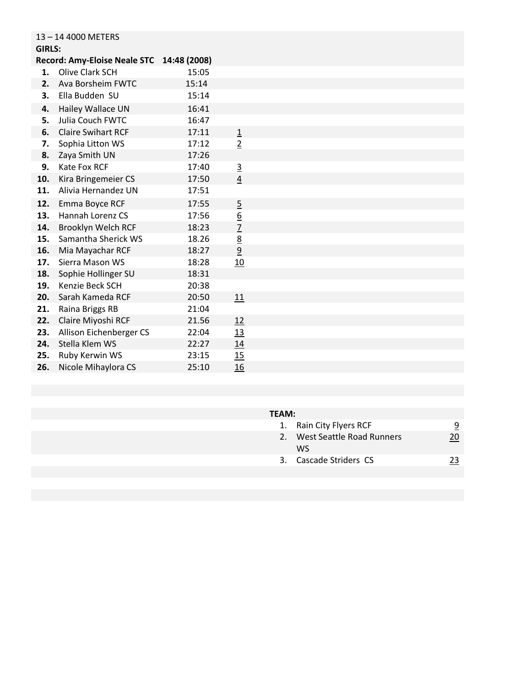| <b>GIRLS:</b> | 13-14 4000 METERS                   |              |                 |  |
|---------------|-------------------------------------|--------------|-----------------|--|
|               | <b>Record: Amy-Eloise Neale STC</b> | 14:48 (2008) |                 |  |
| 1.            | Olive Clark SCH                     | 15:05        |                 |  |
| 2.            | Ava Borsheim FWTC                   | 15:14        |                 |  |
| 3.            | Ella Budden SU                      | 15:14        |                 |  |
|               |                                     |              |                 |  |
| 4.            | Hailey Wallace UN                   | 16:41        |                 |  |
| 5.            | Julia Couch FWTC                    | 16:47        |                 |  |
| 6.            | <b>Claire Swihart RCF</b>           | 17:11        | $\overline{1}$  |  |
| 7.            | Sophia Litton WS                    | 17:12        | $\overline{2}$  |  |
| 8.            | Zaya Smith UN                       | 17:26        |                 |  |
| 9.            | <b>Kate Fox RCF</b>                 | 17:40        | $\overline{3}$  |  |
| 10.           | Kira Bringemeier CS                 | 17:50        | $\overline{4}$  |  |
| 11.           | Alivia Hernandez UN                 | 17:51        |                 |  |
| 12.           | Emma Boyce RCF                      | 17:55        | $\overline{5}$  |  |
| 13.           | Hannah Lorenz CS                    | 17:56        | $\underline{6}$ |  |
| 14.           | Brooklyn Welch RCF                  | 18:23        | $\overline{1}$  |  |
| 15.           | Samantha Sherick WS                 | 18.26        | $\underline{8}$ |  |
| 16.           | Mia Mayachar RCF                    | 18:27        | $\overline{9}$  |  |
| 17.           | Sierra Mason WS                     | 18:28        | 10              |  |
| 18.           | Sophie Hollinger SU                 | 18:31        |                 |  |
| 19.           | Kenzie Beck SCH                     | 20:38        |                 |  |
| 20.           | Sarah Kameda RCF                    | 20:50        | 11              |  |
| 21.           | Raina Briggs RB                     | 21:04        |                 |  |
| 22.           | Claire Miyoshi RCF                  | 21.56        | 12              |  |
| 23.           | Allison Eichenberger CS             | 22:04        | <u>13</u>       |  |
| 24.           | Stella Klem WS                      | 22:27        | 14              |  |
| 25.           | Ruby Kerwin WS                      | 23:15        | 15              |  |
| 26.           | Nicole Mihaylora CS                 | 25:10        | 16              |  |

| 1. Rain City Flyers RCF      |    |
|------------------------------|----|
| 2. West Seattle Road Runners | 20 |
| WS.                          |    |
| 3. Cascade Striders CS       |    |
|                              |    |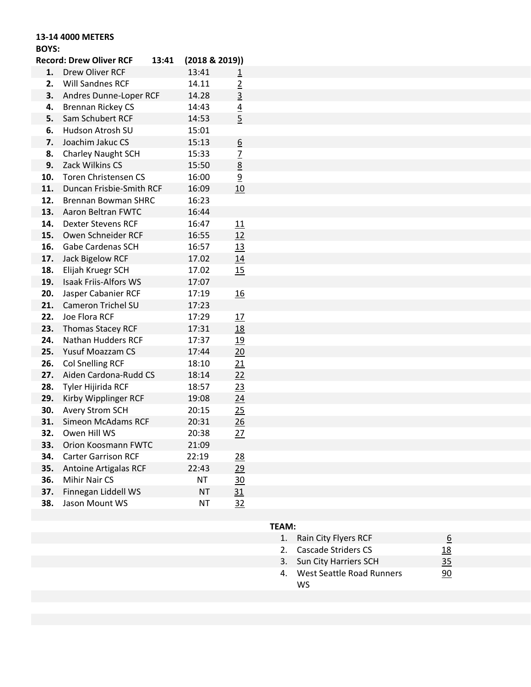## **13-14 4000 METERS**

## **BOYS:**

|     | <b>Record: Drew Oliver RCF</b> | 13:41 | (2018 & 2019)) |                         |
|-----|--------------------------------|-------|----------------|-------------------------|
| 1.  | Drew Oliver RCF                |       | 13:41          | $\overline{\mathbf{1}}$ |
| 2.  | Will Sandnes RCF               |       | 14.11          | $\overline{2}$          |
| 3.  | Andres Dunne-Loper RCF         |       | 14.28          | $\overline{3}$          |
| 4.  | <b>Brennan Rickey CS</b>       |       | 14:43          | $\frac{4}{5}$           |
| 5.  | Sam Schubert RCF               |       | 14:53          |                         |
| 6.  | Hudson Atrosh SU               |       | 15:01          |                         |
| 7.  | Joachim Jakuc CS               |       | 15:13          | $6 \overline{6}$        |
| 8.  | Charley Naught SCH             |       | 15:33          | $\overline{1}$          |
| 9.  | Zack Wilkins CS                |       | 15:50          | 8                       |
| 10. | Toren Christensen CS           |       | 16:00          | $\overline{9}$          |
| 11. | Duncan Frisbie-Smith RCF       |       | 16:09          | 10                      |
| 12. | <b>Brennan Bowman SHRC</b>     |       | 16:23          |                         |
| 13. | <b>Aaron Beltran FWTC</b>      |       | 16:44          |                         |
| 14. | <b>Dexter Stevens RCF</b>      |       | 16:47          | 11                      |
| 15. | Owen Schneider RCF             |       | 16:55          | 12                      |
| 16. | <b>Gabe Cardenas SCH</b>       |       | 16:57          | 13                      |
| 17. | <b>Jack Bigelow RCF</b>        |       | 17.02          | 14                      |
| 18. | Elijah Kruegr SCH              |       | 17.02          | 15                      |
| 19. | <b>Isaak Friis-Alfors WS</b>   |       | 17:07          |                         |
| 20. | Jasper Cabanier RCF            |       | 17:19          | 16                      |
| 21. | <b>Cameron Trichel SU</b>      |       | 17:23          |                         |
| 22. | Joe Flora RCF                  |       | 17:29          | 17                      |
| 23. | <b>Thomas Stacey RCF</b>       |       | 17:31          | 18                      |
| 24. | Nathan Hudders RCF             |       | 17:37          | 19                      |
| 25. | <b>Yusuf Moazzam CS</b>        |       | 17:44          | 20                      |
| 26. | <b>Col Snelling RCF</b>        |       | 18:10          | 21                      |
| 27. | Aiden Cardona-Rudd CS          |       | 18:14          | 22                      |
| 28. | Tyler Hijirida RCF             |       | 18:57          | 23                      |
| 29. | Kirby Wipplinger RCF           |       | 19:08          | 24                      |
| 30. | Avery Strom SCH                |       | 20:15          | 25                      |
| 31. | <b>Simeon McAdams RCF</b>      |       | 20:31          | 26                      |
| 32. | Owen Hill WS                   |       | 20:38          | 27                      |
| 33. | Orion Koosmann FWTC            |       | 21:09          |                         |
| 34. | <b>Carter Garrison RCF</b>     |       | 22:19          | <u> 28</u>              |
| 35. | <b>Antoine Artigalas RCF</b>   |       | 22:43          | 29                      |
| 36. | Mihir Nair CS                  |       | <b>NT</b>      | $\frac{30}{2}$          |
| 37. | Finnegan Liddell WS            |       | NT             | 31                      |
| 38. | Jason Mount WS                 |       | NT             | <u>32</u>               |

|    | 1. Rain City Flyers RCF   |            |
|----|---------------------------|------------|
|    | 2. Cascade Striders CS    | <u> 18</u> |
|    | 3. Sun City Harriers SCH  | <u>35</u>  |
| 4. | West Seattle Road Runners | 90         |
|    | ws                        |            |